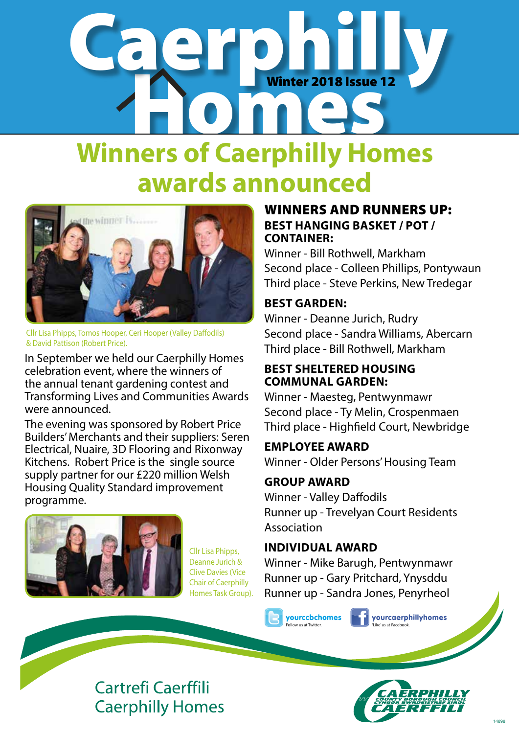# a carto in Winter 2018 Issue 1 Winter 2018 Issue 12

## **Winners of Caerphilly Homes awards announced**



Cllr Lisa Phipps, Tomos Hooper, Ceri Hooper (Valley Daffodils) & David Pattison (Robert Price).

In September we held our Caerphilly Homes celebration event, where the winners of the annual tenant gardening contest and Transforming Lives and Communities Awards were announced.

The evening was sponsored by Robert Price Builders' Merchants and their suppliers: Seren Electrical, Nuaire, 3D Flooring and Rixonway Kitchens. Robert Price is the single source supply partner for our £220 million Welsh Housing Quality Standard improvement programme.



Cllr Lisa Phipps, Deanne Jurich & Clive Davies (Vice Chair of Caerphilly Homes Task Group).

### WINNERS AND RUNNERS UP: **BEST HANGING BASKET / POT / CONTAINER:**

Winner - Bill Rothwell, Markham Second place - Colleen Phillips, Pontywaun Third place - Steve Perkins, New Tredegar

### **BEST GARDEN:**

Winner - Deanne Jurich, Rudry Second place - Sandra Williams, Abercarn Third place - Bill Rothwell, Markham

### **BEST SHELTERED HOUSING COMMUNAL GARDEN:**

Winner - Maesteg, Pentwynmawr Second place - Ty Melin, Crospenmaen Third place - Highfield Court, Newbridge

### **EMPLOYEE AWARD**

Winner - Older Persons' Housing Team

### **GROUP AWARD**

Winner - Valley Daffodils Runner up - Trevelyan Court Residents Association

### **INDIVIDUAL AWARD**

Winner - Mike Barugh, Pentwynmawr Runner up - Gary Pritchard, Ynysddu Runner up - Sandra Jones, Penyrheol

yourccbchomes Follow us at Twitter.

yourcaerphillyhomes like' us at Facebo

### **Cartrefi Caerffili Caerphilly Homes**

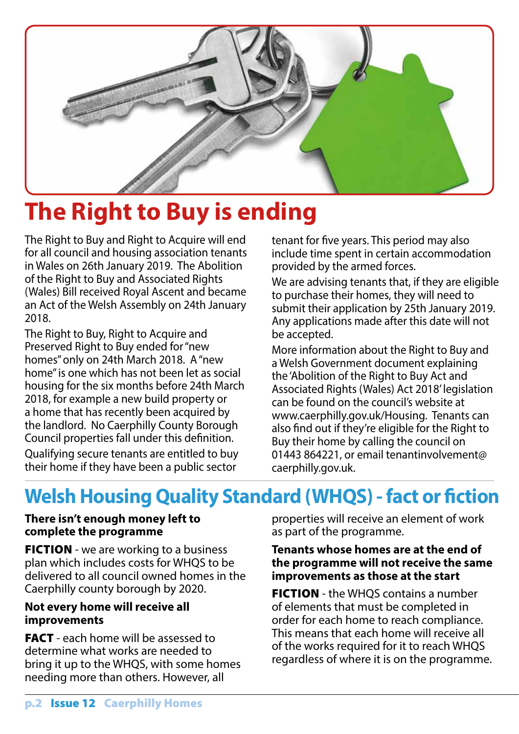

## **The Right to Buy is ending**

The Right to Buy and Right to Acquire will end for all council and housing association tenants in Wales on 26th January 2019. The Abolition of the Right to Buy and Associated Rights (Wales) Bill received Royal Ascent and became an Act of the Welsh Assembly on 24th January 2018.

The Right to Buy, Right to Acquire and Preserved Right to Buy ended for "new homes" only on 24th March 2018. A "new home" is one which has not been let as social housing for the six months before 24th March 2018, for example a new build property or a home that has recently been acquired by the landlord. No Caerphilly County Borough Council properties fall under this definition. Qualifying secure tenants are entitled to buy their home if they have been a public sector

tenant for five years. This period may also include time spent in certain accommodation provided by the armed forces.

We are advising tenants that, if they are eligible to purchase their homes, they will need to submit their application by 25th January 2019. Any applications made after this date will not be accepted.

More information about the Right to Buy and a Welsh Government document explaining the 'Abolition of the Right to Buy Act and Associated Rights (Wales) Act 2018' legislation can be found on the council's website at www.caerphilly.gov.uk/Housing. Tenants can also find out if they're eligible for the Right to Buy their home by calling the council on 01443 864221, or email tenantinvolvement@ caerphilly.gov.uk.

### **Welsh Housing Quality Standard (WHQS) - fact or fiction**

### **There isn't enough money left to complete the programme**

**FICTION** - we are working to a business plan which includes costs for WHQS to be delivered to all council owned homes in the Caerphilly county borough by 2020.

### **Not every home will receive all improvements**

**FACT** - each home will be assessed to determine what works are needed to bring it up to the WHQS, with some homes needing more than others. However, all

properties will receive an element of work as part of the programme.

#### **Tenants whose homes are at the end of the programme will not receive the same improvements as those at the start**

**FICTION** - the WHQS contains a number of elements that must be completed in order for each home to reach compliance. This means that each home will receive all of the works required for it to reach WHQS regardless of where it is on the programme.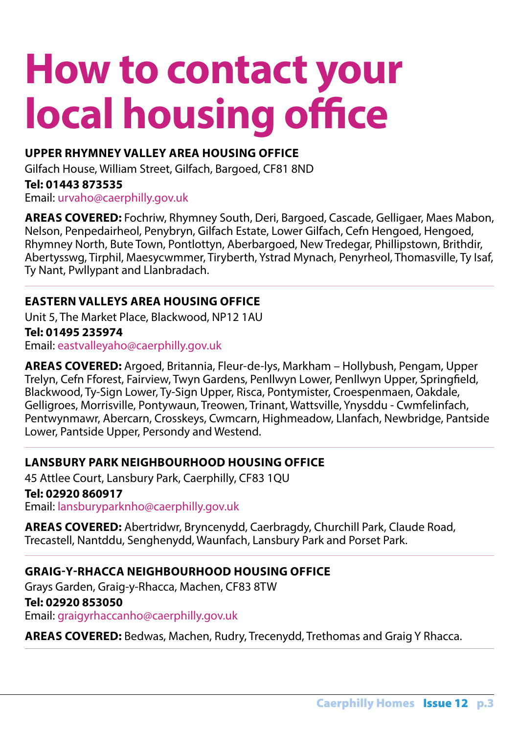# **How to contact your local housing office**

### **UPPER RHYMNEY VALLEY AREA HOUSING OFFICE**

Gilfach House, William Street, Gilfach, Bargoed, CF81 8ND

**Tel: 01443 873535** 

Email: urvaho@caerphilly.gov.uk

**AREAS COVERED:** Fochriw, Rhymney South, Deri, Bargoed, Cascade, Gelligaer, Maes Mabon, Nelson, Penpedairheol, Penybryn, Gilfach Estate, Lower Gilfach, Cefn Hengoed, Hengoed, Rhymney North, Bute Town, Pontlottyn, Aberbargoed, New Tredegar, Phillipstown, Brithdir, Abertysswg, Tirphil, Maesycwmmer, Tiryberth, Ystrad Mynach, Penyrheol, Thomasville, Ty Isaf, Ty Nant, Pwllypant and Llanbradach.

### **EASTERN VALLEYS AREA HOUSING OFFICE**

Unit 5, The Market Place, Blackwood, NP12 1AU

**Tel: 01495 235974** 

Email: eastvalleyaho@caerphilly.gov.uk

**AREAS COVERED:** Argoed, Britannia, Fleur-de-lys, Markham – Hollybush, Pengam, Upper Trelyn, Cefn Fforest, Fairview, Twyn Gardens, Penllwyn Lower, Penllwyn Upper, Springfield, Blackwood, Ty-Sign Lower, Ty-Sign Upper, Risca, Pontymister, Croespenmaen, Oakdale, Gelligroes, Morrisville, Pontywaun, Treowen, Trinant, Wattsville, Ynysddu - Cwmfelinfach, Pentwynmawr, Abercarn, Crosskeys, Cwmcarn, Highmeadow, Llanfach, Newbridge, Pantside Lower, Pantside Upper, Persondy and Westend.

### **LANSBURY PARK NEIGHBOURHOOD HOUSING OFFICE**

45 Attlee Court, Lansbury Park, Caerphilly, CF83 1QU **Tel: 02920 860917** 

Email: lansburyparknho@caerphilly.gov.uk

**AREAS COVERED:** Abertridwr, Bryncenydd, Caerbragdy, Churchill Park, Claude Road, Trecastell, Nantddu, Senghenydd, Waunfach, Lansbury Park and Porset Park.

### **GRAIG-Y-RHACCA NEIGHBOURHOOD HOUSING OFFICE**

Grays Garden, Graig-y-Rhacca, Machen, CF83 8TW **Tel: 02920 853050** Email: graigyrhaccanho@caerphilly.gov.uk

**AREAS COVERED:** Bedwas, Machen, Rudry, Trecenydd, Trethomas and Graig Y Rhacca.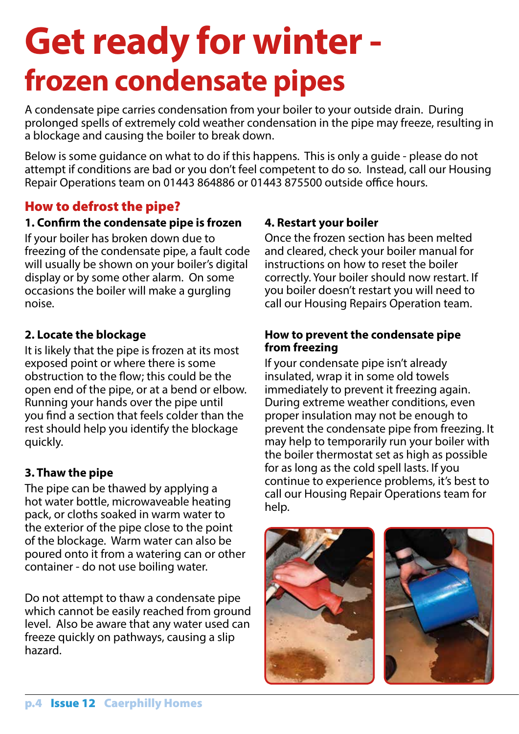# **Get ready for winter frozen condensate pipes**

A condensate pipe carries condensation from your boiler to your outside drain. During prolonged spells of extremely cold weather condensation in the pipe may freeze, resulting in a blockage and causing the boiler to break down.

Below is some guidance on what to do if this happens. This is only a guide - please do not attempt if conditions are bad or you don't feel competent to do so. Instead, call our Housing Repair Operations team on 01443 864886 or 01443 875500 outside office hours.

### How to defrost the pipe?

### **1. Confirm the condensate pipe is frozen**

If your boiler has broken down due to freezing of the condensate pipe, a fault code will usually be shown on your boiler's digital display or by some other alarm. On some occasions the boiler will make a gurgling noise.

### **2. Locate the blockage**

It is likely that the pipe is frozen at its most exposed point or where there is some obstruction to the flow; this could be the open end of the pipe, or at a bend or elbow. Running your hands over the pipe until you find a section that feels colder than the rest should help you identify the blockage quickly.

### **3. Thaw the pipe**

The pipe can be thawed by applying a hot water bottle, microwaveable heating pack, or cloths soaked in warm water to the exterior of the pipe close to the point of the blockage. Warm water can also be poured onto it from a watering can or other container - do not use boiling water.

Do not attempt to thaw a condensate pipe which cannot be easily reached from ground level. Also be aware that any water used can freeze quickly on pathways, causing a slip hazard.

### **4. Restart your boiler**

Once the frozen section has been melted and cleared, check your boiler manual for instructions on how to reset the boiler correctly. Your boiler should now restart. If you boiler doesn't restart you will need to call our Housing Repairs Operation team.

#### **How to prevent the condensate pipe from freezing**

If your condensate pipe isn't already insulated, wrap it in some old towels immediately to prevent it freezing again. During extreme weather conditions, even proper insulation may not be enough to prevent the condensate pipe from freezing. It may help to temporarily run your boiler with the boiler thermostat set as high as possible for as long as the cold spell lasts. If you continue to experience problems, it's best to call our Housing Repair Operations team for help.



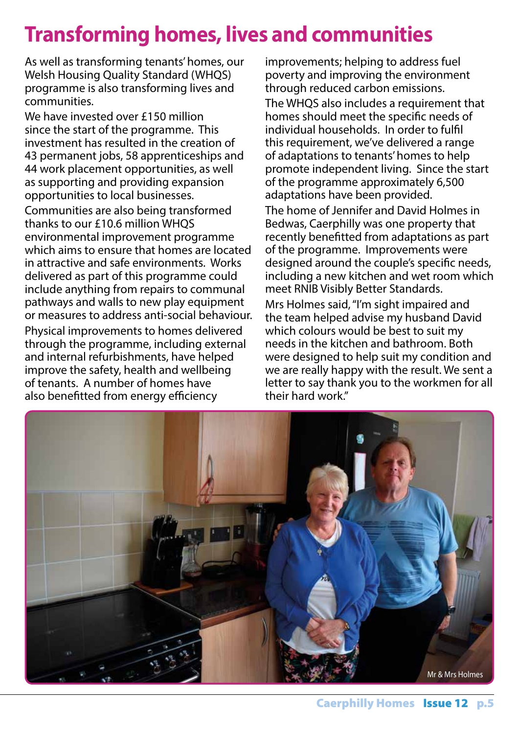### **Transforming homes, lives and communities**

As well as transforming tenants' homes, our Welsh Housing Quality Standard (WHQS) programme is also transforming lives and communities.

We have invested over £150 million since the start of the programme. This investment has resulted in the creation of 43 permanent jobs, 58 apprenticeships and 44 work placement opportunities, as well as supporting and providing expansion opportunities to local businesses.

Communities are also being transformed thanks to our £10.6 million WHQS environmental improvement programme which aims to ensure that homes are located in attractive and safe environments. Works delivered as part of this programme could include anything from repairs to communal pathways and walls to new play equipment or measures to address anti-social behaviour. Physical improvements to homes delivered through the programme, including external and internal refurbishments, have helped improve the safety, health and wellbeing of tenants. A number of homes have also benefitted from energy efficiency

improvements; helping to address fuel poverty and improving the environment through reduced carbon emissions.

The WHQS also includes a requirement that homes should meet the specific needs of individual households. In order to fulfil this requirement, we've delivered a range of adaptations to tenants' homes to help promote independent living. Since the start of the programme approximately 6,500 adaptations have been provided.

The home of Jennifer and David Holmes in Bedwas, Caerphilly was one property that recently benefitted from adaptations as part of the programme. Improvements were designed around the couple's specific needs, including a new kitchen and wet room which meet RNIB Visibly Better Standards.

Mrs Holmes said, "I'm sight impaired and the team helped advise my husband David which colours would be best to suit my needs in the kitchen and bathroom. Both were designed to help suit my condition and we are really happy with the result. We sent a letter to say thank you to the workmen for all their hard work."

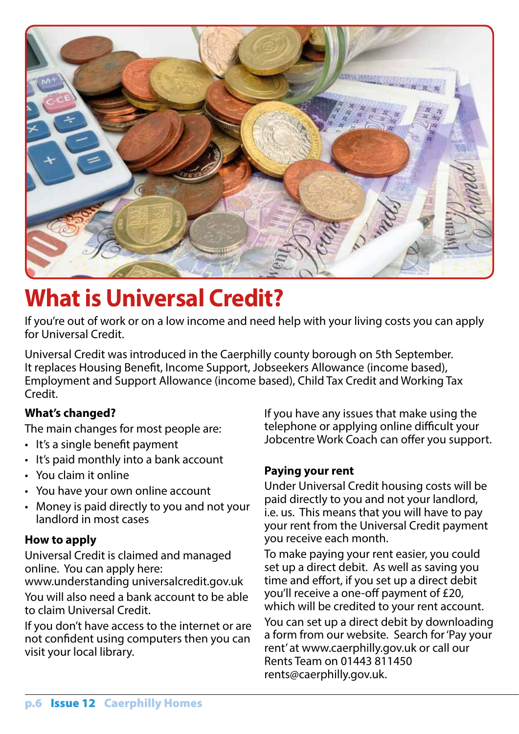

## **What is Universal Credit?**

If you're out of work or on a low income and need help with your living costs you can apply for Universal Credit.

Universal Credit was introduced in the Caerphilly county borough on 5th September. It replaces Housing Benefit, Income Support, Jobseekers Allowance (income based), Employment and Support Allowance (income based), Child Tax Credit and Working Tax Credit.

### **What's changed?**

The main changes for most people are:

- It's a single benefit payment
- It's paid monthly into a bank account
- You claim it online
- You have your own online account
- Money is paid directly to you and not your landlord in most cases

### **How to apply**

Universal Credit is claimed and managed online. You can apply here:

www.understanding universalcredit.gov.uk You will also need a bank account to be able to claim Universal Credit.

If you don't have access to the internet or are not confident using computers then you can visit your local library.

If you have any issues that make using the telephone or applying online difficult your Jobcentre Work Coach can offer you support.

### **Paying your rent**

Under Universal Credit housing costs will be paid directly to you and not your landlord, i.e. us. This means that you will have to pay your rent from the Universal Credit payment you receive each month.

To make paying your rent easier, you could set up a direct debit. As well as saving you time and effort, if you set up a direct debit you'll receive a one-off payment of £20, which will be credited to your rent account.

You can set up a direct debit by downloading a form from our website. Search for 'Pay your rent' at www.caerphilly.gov.uk or call our Rents Team on 01443 811450 rents@caerphilly.gov.uk.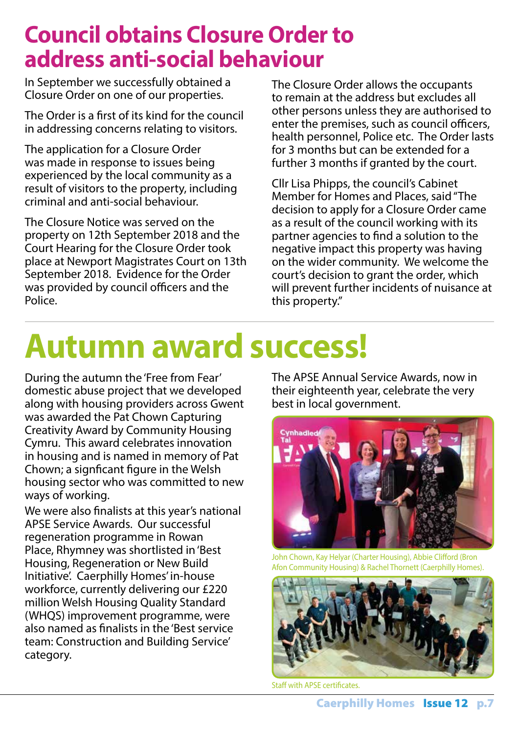### **Council obtains Closure Order to address anti-social behaviour**

In September we successfully obtained a Closure Order on one of our properties.

The Order is a first of its kind for the council in addressing concerns relating to visitors.

The application for a Closure Order was made in response to issues being experienced by the local community as a result of visitors to the property, including criminal and anti-social behaviour.

The Closure Notice was served on the property on 12th September 2018 and the Court Hearing for the Closure Order took place at Newport Magistrates Court on 13th September 2018. Evidence for the Order was provided by council officers and the Police.

The Closure Order allows the occupants to remain at the address but excludes all other persons unless they are authorised to enter the premises, such as council officers, health personnel, Police etc. The Order lasts for 3 months but can be extended for a further 3 months if granted by the court.

Cllr Lisa Phipps, the council's Cabinet Member for Homes and Places, said "The decision to apply for a Closure Order came as a result of the council working with its partner agencies to find a solution to the negative impact this property was having on the wider community. We welcome the court's decision to grant the order, which will prevent further incidents of nuisance at this property."

# **Autumn award success!**

During the autumn the 'Free from Fear' domestic abuse project that we developed along with housing providers across Gwent was awarded the Pat Chown Capturing Creativity Award by Community Housing Cymru. This award celebrates innovation in housing and is named in memory of Pat Chown; a signficant figure in the Welsh housing sector who was committed to new ways of working.

We were also finalists at this year's national APSE Service Awards. Our successful regeneration programme in Rowan Place, Rhymney was shortlisted in 'Best Housing, Regeneration or New Build Initiative'. Caerphilly Homes' in-house workforce, currently delivering our £220 million Welsh Housing Quality Standard (WHQS) improvement programme, were also named as finalists in the 'Best service team: Construction and Building Service' category.

The APSE Annual Service Awards, now in their eighteenth year, celebrate the very best in local government.



John Chown, Kay Helyar (Charter Housing), Abbie Clifford (Bron Afon Community Housing) & Rachel Thornett (Caerphilly Homes).



Staff with APSE certificates.